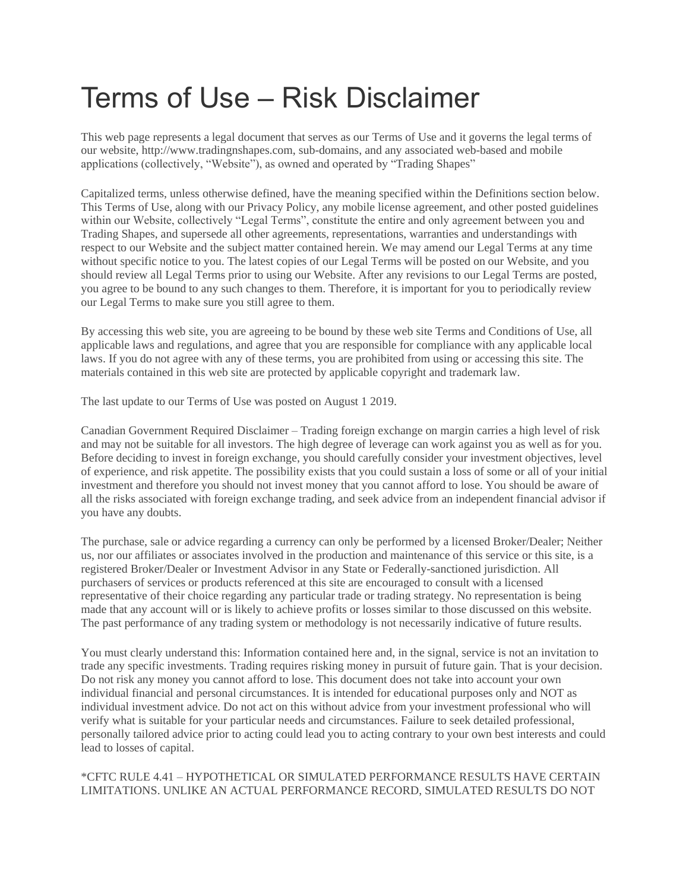# Terms of Use – Risk Disclaimer

This web page represents a legal document that serves as our Terms of Use and it governs the legal terms of our website, http://www.tradingnshapes.com, sub-domains, and any associated web-based and mobile applications (collectively, "Website"), as owned and operated by "Trading Shapes"

Capitalized terms, unless otherwise defined, have the meaning specified within the Definitions section below. This Terms of Use, along with our Privacy Policy, any mobile license agreement, and other posted guidelines within our Website, collectively "Legal Terms", constitute the entire and only agreement between you and Trading Shapes, and supersede all other agreements, representations, warranties and understandings with respect to our Website and the subject matter contained herein. We may amend our Legal Terms at any time without specific notice to you. The latest copies of our Legal Terms will be posted on our Website, and you should review all Legal Terms prior to using our Website. After any revisions to our Legal Terms are posted, you agree to be bound to any such changes to them. Therefore, it is important for you to periodically review our Legal Terms to make sure you still agree to them.

By accessing this web site, you are agreeing to be bound by these web site Terms and Conditions of Use, all applicable laws and regulations, and agree that you are responsible for compliance with any applicable local laws. If you do not agree with any of these terms, you are prohibited from using or accessing this site. The materials contained in this web site are protected by applicable copyright and trademark law.

The last update to our Terms of Use was posted on August 1 2019.

Canadian Government Required Disclaimer – Trading foreign exchange on margin carries a high level of risk and may not be suitable for all investors. The high degree of leverage can work against you as well as for you. Before deciding to invest in foreign exchange, you should carefully consider your investment objectives, level of experience, and risk appetite. The possibility exists that you could sustain a loss of some or all of your initial investment and therefore you should not invest money that you cannot afford to lose. You should be aware of all the risks associated with foreign exchange trading, and seek advice from an independent financial advisor if you have any doubts.

The purchase, sale or advice regarding a currency can only be performed by a licensed Broker/Dealer; Neither us, nor our affiliates or associates involved in the production and maintenance of this service or this site, is a registered Broker/Dealer or Investment Advisor in any State or Federally-sanctioned jurisdiction. All purchasers of services or products referenced at this site are encouraged to consult with a licensed representative of their choice regarding any particular trade or trading strategy. No representation is being made that any account will or is likely to achieve profits or losses similar to those discussed on this website. The past performance of any trading system or methodology is not necessarily indicative of future results.

You must clearly understand this: Information contained here and, in the signal, service is not an invitation to trade any specific investments. Trading requires risking money in pursuit of future gain. That is your decision. Do not risk any money you cannot afford to lose. This document does not take into account your own individual financial and personal circumstances. It is intended for educational purposes only and NOT as individual investment advice. Do not act on this without advice from your investment professional who will verify what is suitable for your particular needs and circumstances. Failure to seek detailed professional, personally tailored advice prior to acting could lead you to acting contrary to your own best interests and could lead to losses of capital.

#### \*CFTC RULE 4.41 – HYPOTHETICAL OR SIMULATED PERFORMANCE RESULTS HAVE CERTAIN LIMITATIONS. UNLIKE AN ACTUAL PERFORMANCE RECORD, SIMULATED RESULTS DO NOT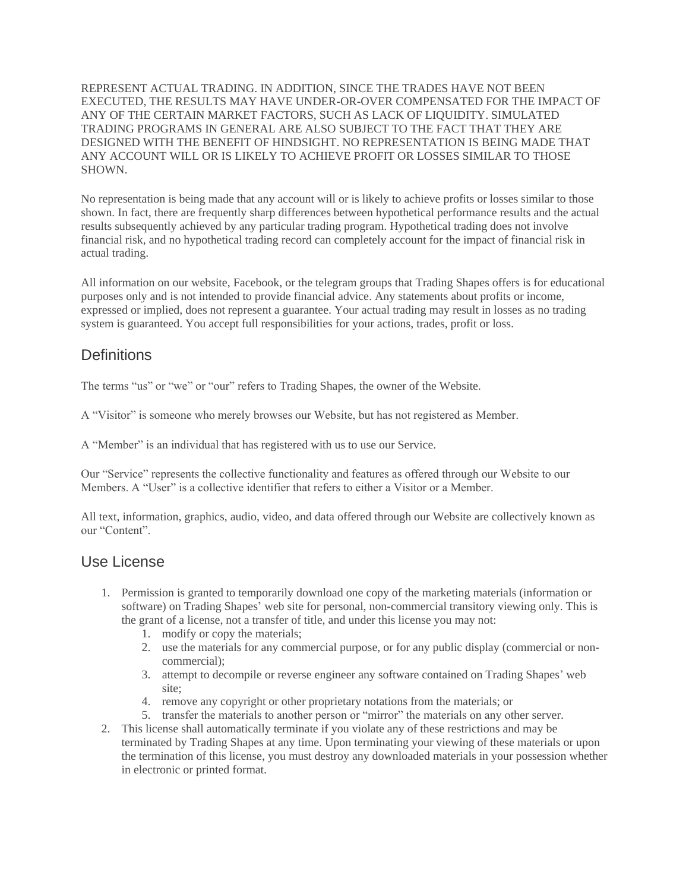REPRESENT ACTUAL TRADING. IN ADDITION, SINCE THE TRADES HAVE NOT BEEN EXECUTED, THE RESULTS MAY HAVE UNDER-OR-OVER COMPENSATED FOR THE IMPACT OF ANY OF THE CERTAIN MARKET FACTORS, SUCH AS LACK OF LIQUIDITY. SIMULATED TRADING PROGRAMS IN GENERAL ARE ALSO SUBJECT TO THE FACT THAT THEY ARE DESIGNED WITH THE BENEFIT OF HINDSIGHT. NO REPRESENTATION IS BEING MADE THAT ANY ACCOUNT WILL OR IS LIKELY TO ACHIEVE PROFIT OR LOSSES SIMILAR TO THOSE SHOWN.

No representation is being made that any account will or is likely to achieve profits or losses similar to those shown. In fact, there are frequently sharp differences between hypothetical performance results and the actual results subsequently achieved by any particular trading program. Hypothetical trading does not involve financial risk, and no hypothetical trading record can completely account for the impact of financial risk in actual trading.

All information on our website, Facebook, or the telegram groups that Trading Shapes offers is for educational purposes only and is not intended to provide financial advice. Any statements about profits or income, expressed or implied, does not represent a guarantee. Your actual trading may result in losses as no trading system is guaranteed. You accept full responsibilities for your actions, trades, profit or loss.

# **Definitions**

The terms "us" or "we" or "our" refers to Trading Shapes, the owner of the Website.

A "Visitor" is someone who merely browses our Website, but has not registered as Member.

A "Member" is an individual that has registered with us to use our Service.

Our "Service" represents the collective functionality and features as offered through our Website to our Members. A "User" is a collective identifier that refers to either a Visitor or a Member.

All text, information, graphics, audio, video, and data offered through our Website are collectively known as our "Content".

#### Use License

- 1. Permission is granted to temporarily download one copy of the marketing materials (information or software) on Trading Shapes' web site for personal, non-commercial transitory viewing only. This is the grant of a license, not a transfer of title, and under this license you may not:
	- 1. modify or copy the materials;
	- 2. use the materials for any commercial purpose, or for any public display (commercial or noncommercial);
	- 3. attempt to decompile or reverse engineer any software contained on Trading Shapes' web site;
	- 4. remove any copyright or other proprietary notations from the materials; or
	- 5. transfer the materials to another person or "mirror" the materials on any other server.
- 2. This license shall automatically terminate if you violate any of these restrictions and may be terminated by Trading Shapes at any time. Upon terminating your viewing of these materials or upon the termination of this license, you must destroy any downloaded materials in your possession whether in electronic or printed format.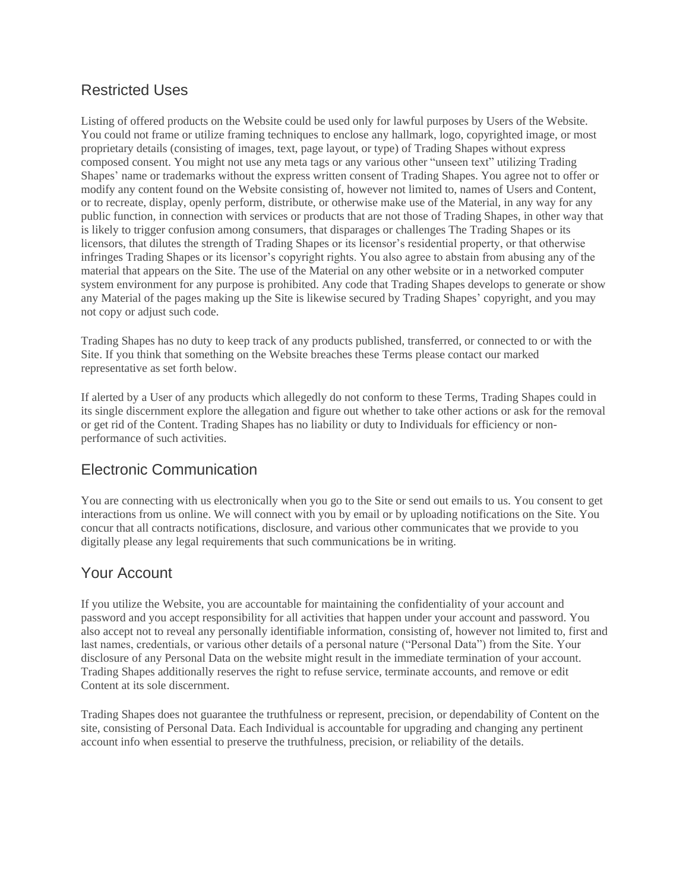## Restricted Uses

Listing of offered products on the Website could be used only for lawful purposes by Users of the Website. You could not frame or utilize framing techniques to enclose any hallmark, logo, copyrighted image, or most proprietary details (consisting of images, text, page layout, or type) of Trading Shapes without express composed consent. You might not use any meta tags or any various other "unseen text" utilizing Trading Shapes' name or trademarks without the express written consent of Trading Shapes. You agree not to offer or modify any content found on the Website consisting of, however not limited to, names of Users and Content, or to recreate, display, openly perform, distribute, or otherwise make use of the Material, in any way for any public function, in connection with services or products that are not those of Trading Shapes, in other way that is likely to trigger confusion among consumers, that disparages or challenges The Trading Shapes or its licensors, that dilutes the strength of Trading Shapes or its licensor's residential property, or that otherwise infringes Trading Shapes or its licensor's copyright rights. You also agree to abstain from abusing any of the material that appears on the Site. The use of the Material on any other website or in a networked computer system environment for any purpose is prohibited. Any code that Trading Shapes develops to generate or show any Material of the pages making up the Site is likewise secured by Trading Shapes' copyright, and you may not copy or adjust such code.

Trading Shapes has no duty to keep track of any products published, transferred, or connected to or with the Site. If you think that something on the Website breaches these Terms please contact our marked representative as set forth below.

If alerted by a User of any products which allegedly do not conform to these Terms, Trading Shapes could in its single discernment explore the allegation and figure out whether to take other actions or ask for the removal or get rid of the Content. Trading Shapes has no liability or duty to Individuals for efficiency or nonperformance of such activities.

## Electronic Communication

You are connecting with us electronically when you go to the Site or send out emails to us. You consent to get interactions from us online. We will connect with you by email or by uploading notifications on the Site. You concur that all contracts notifications, disclosure, and various other communicates that we provide to you digitally please any legal requirements that such communications be in writing.

#### Your Account

If you utilize the Website, you are accountable for maintaining the confidentiality of your account and password and you accept responsibility for all activities that happen under your account and password. You also accept not to reveal any personally identifiable information, consisting of, however not limited to, first and last names, credentials, or various other details of a personal nature ("Personal Data") from the Site. Your disclosure of any Personal Data on the website might result in the immediate termination of your account. Trading Shapes additionally reserves the right to refuse service, terminate accounts, and remove or edit Content at its sole discernment.

Trading Shapes does not guarantee the truthfulness or represent, precision, or dependability of Content on the site, consisting of Personal Data. Each Individual is accountable for upgrading and changing any pertinent account info when essential to preserve the truthfulness, precision, or reliability of the details.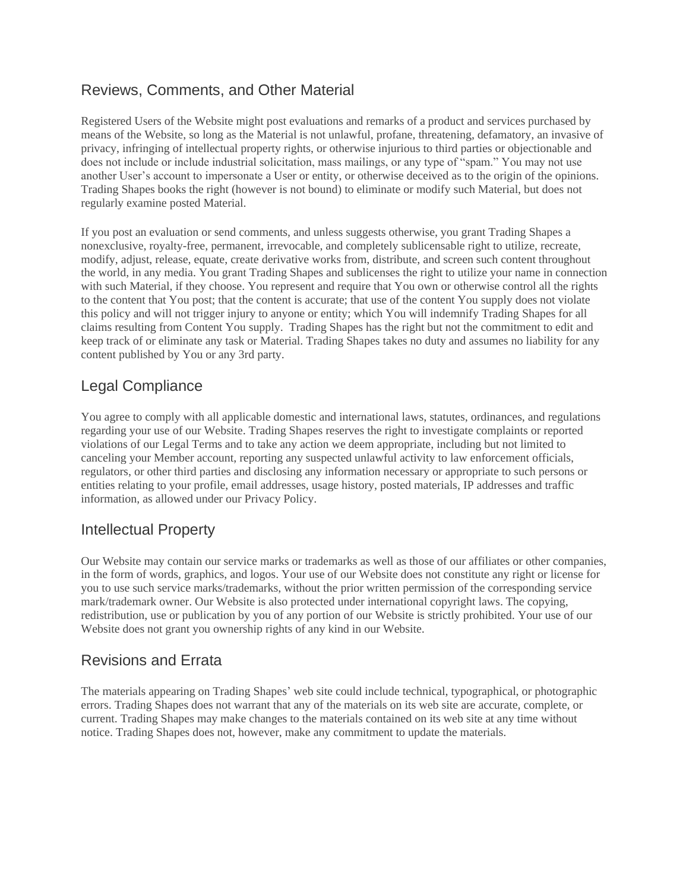# Reviews, Comments, and Other Material

Registered Users of the Website might post evaluations and remarks of a product and services purchased by means of the Website, so long as the Material is not unlawful, profane, threatening, defamatory, an invasive of privacy, infringing of intellectual property rights, or otherwise injurious to third parties or objectionable and does not include or include industrial solicitation, mass mailings, or any type of "spam." You may not use another User's account to impersonate a User or entity, or otherwise deceived as to the origin of the opinions. Trading Shapes books the right (however is not bound) to eliminate or modify such Material, but does not regularly examine posted Material.

If you post an evaluation or send comments, and unless suggests otherwise, you grant Trading Shapes a nonexclusive, royalty-free, permanent, irrevocable, and completely sublicensable right to utilize, recreate, modify, adjust, release, equate, create derivative works from, distribute, and screen such content throughout the world, in any media. You grant Trading Shapes and sublicenses the right to utilize your name in connection with such Material, if they choose. You represent and require that You own or otherwise control all the rights to the content that You post; that the content is accurate; that use of the content You supply does not violate this policy and will not trigger injury to anyone or entity; which You will indemnify Trading Shapes for all claims resulting from Content You supply. Trading Shapes has the right but not the commitment to edit and keep track of or eliminate any task or Material. Trading Shapes takes no duty and assumes no liability for any content published by You or any 3rd party.

# Legal Compliance

You agree to comply with all applicable domestic and international laws, statutes, ordinances, and regulations regarding your use of our Website. Trading Shapes reserves the right to investigate complaints or reported violations of our Legal Terms and to take any action we deem appropriate, including but not limited to canceling your Member account, reporting any suspected unlawful activity to law enforcement officials, regulators, or other third parties and disclosing any information necessary or appropriate to such persons or entities relating to your profile, email addresses, usage history, posted materials, IP addresses and traffic information, as allowed under our Privacy Policy.

## Intellectual Property

Our Website may contain our service marks or trademarks as well as those of our affiliates or other companies, in the form of words, graphics, and logos. Your use of our Website does not constitute any right or license for you to use such service marks/trademarks, without the prior written permission of the corresponding service mark/trademark owner. Our Website is also protected under international copyright laws. The copying, redistribution, use or publication by you of any portion of our Website is strictly prohibited. Your use of our Website does not grant you ownership rights of any kind in our Website.

## Revisions and Errata

The materials appearing on Trading Shapes' web site could include technical, typographical, or photographic errors. Trading Shapes does not warrant that any of the materials on its web site are accurate, complete, or current. Trading Shapes may make changes to the materials contained on its web site at any time without notice. Trading Shapes does not, however, make any commitment to update the materials.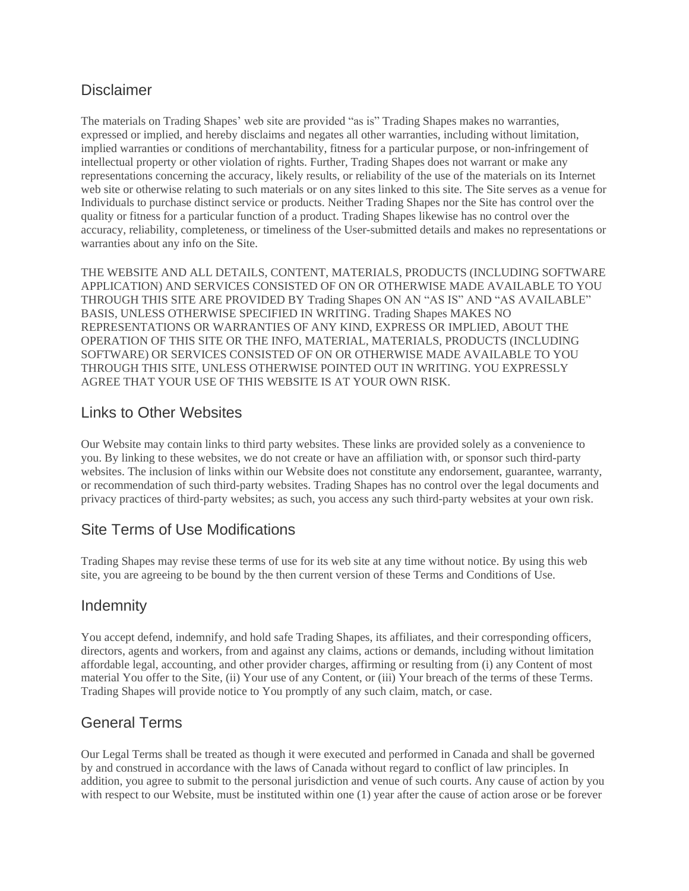#### **Disclaimer**

The materials on Trading Shapes' web site are provided "as is" Trading Shapes makes no warranties, expressed or implied, and hereby disclaims and negates all other warranties, including without limitation, implied warranties or conditions of merchantability, fitness for a particular purpose, or non-infringement of intellectual property or other violation of rights. Further, Trading Shapes does not warrant or make any representations concerning the accuracy, likely results, or reliability of the use of the materials on its Internet web site or otherwise relating to such materials or on any sites linked to this site. The Site serves as a venue for Individuals to purchase distinct service or products. Neither Trading Shapes nor the Site has control over the quality or fitness for a particular function of a product. Trading Shapes likewise has no control over the accuracy, reliability, completeness, or timeliness of the User-submitted details and makes no representations or warranties about any info on the Site.

THE WEBSITE AND ALL DETAILS, CONTENT, MATERIALS, PRODUCTS (INCLUDING SOFTWARE APPLICATION) AND SERVICES CONSISTED OF ON OR OTHERWISE MADE AVAILABLE TO YOU THROUGH THIS SITE ARE PROVIDED BY Trading Shapes ON AN "AS IS" AND "AS AVAILABLE" BASIS, UNLESS OTHERWISE SPECIFIED IN WRITING. Trading Shapes MAKES NO REPRESENTATIONS OR WARRANTIES OF ANY KIND, EXPRESS OR IMPLIED, ABOUT THE OPERATION OF THIS SITE OR THE INFO, MATERIAL, MATERIALS, PRODUCTS (INCLUDING SOFTWARE) OR SERVICES CONSISTED OF ON OR OTHERWISE MADE AVAILABLE TO YOU THROUGH THIS SITE, UNLESS OTHERWISE POINTED OUT IN WRITING. YOU EXPRESSLY AGREE THAT YOUR USE OF THIS WEBSITE IS AT YOUR OWN RISK.

## Links to Other Websites

Our Website may contain links to third party websites. These links are provided solely as a convenience to you. By linking to these websites, we do not create or have an affiliation with, or sponsor such third-party websites. The inclusion of links within our Website does not constitute any endorsement, guarantee, warranty, or recommendation of such third-party websites. Trading Shapes has no control over the legal documents and privacy practices of third-party websites; as such, you access any such third-party websites at your own risk.

## Site Terms of Use Modifications

Trading Shapes may revise these terms of use for its web site at any time without notice. By using this web site, you are agreeing to be bound by the then current version of these Terms and Conditions of Use.

## **Indemnity**

You accept defend, indemnify, and hold safe Trading Shapes, its affiliates, and their corresponding officers, directors, agents and workers, from and against any claims, actions or demands, including without limitation affordable legal, accounting, and other provider charges, affirming or resulting from (i) any Content of most material You offer to the Site, (ii) Your use of any Content, or (iii) Your breach of the terms of these Terms. Trading Shapes will provide notice to You promptly of any such claim, match, or case.

# General Terms

Our Legal Terms shall be treated as though it were executed and performed in Canada and shall be governed by and construed in accordance with the laws of Canada without regard to conflict of law principles. In addition, you agree to submit to the personal jurisdiction and venue of such courts. Any cause of action by you with respect to our Website, must be instituted within one (1) year after the cause of action arose or be forever